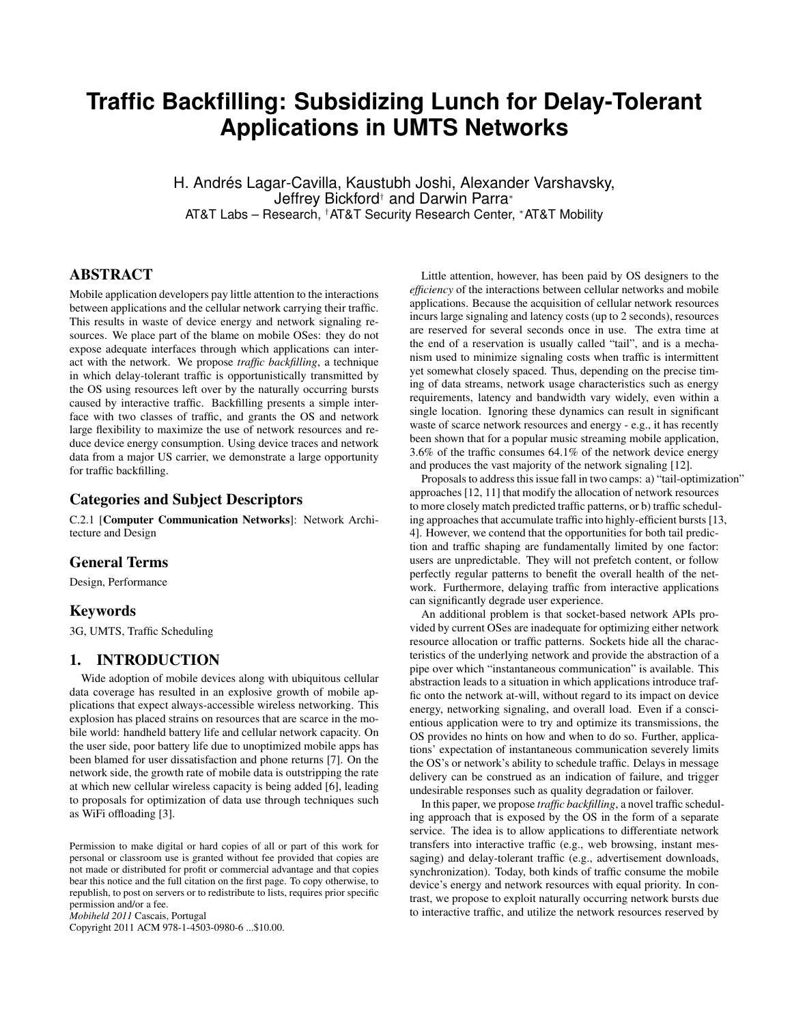# **Traffic Backfilling: Subsidizing Lunch for Delay-Tolerant Applications in UMTS Networks**

H. Andrés Lagar-Cavilla, Kaustubh Joshi, Alexander Varshavsky, Jeffrey Bickford† and Darwin Parra<sup>∗</sup> AT&T Labs – Research, †AT&T Security Research Center, <sup>∗</sup>AT&T Mobility

# ABSTRACT

Mobile application developers pay little attention to the interactions between applications and the cellular network carrying their traffic. This results in waste of device energy and network signaling resources. We place part of the blame on mobile OSes: they do not expose adequate interfaces through which applications can interact with the network. We propose *traffic backfilling*, a technique in which delay-tolerant traffic is opportunistically transmitted by the OS using resources left over by the naturally occurring bursts caused by interactive traffic. Backfilling presents a simple interface with two classes of traffic, and grants the OS and network large flexibility to maximize the use of network resources and reduce device energy consumption. Using device traces and network data from a major US carrier, we demonstrate a large opportunity for traffic backfilling.

# Categories and Subject Descriptors

C.2.1 [Computer Communication Networks]: Network Architecture and Design

#### General Terms

Design, Performance

## Keywords

3G, UMTS, Traffic Scheduling

## 1. INTRODUCTION

Wide adoption of mobile devices along with ubiquitous cellular data coverage has resulted in an explosive growth of mobile applications that expect always-accessible wireless networking. This explosion has placed strains on resources that are scarce in the mobile world: handheld battery life and cellular network capacity. On the user side, poor battery life due to unoptimized mobile apps has been blamed for user dissatisfaction and phone returns [7]. On the network side, the growth rate of mobile data is outstripping the rate at which new cellular wireless capacity is being added [6], leading to proposals for optimization of data use through techniques such as WiFi offloading [3].

*Mobiheld 2011* Cascais, Portugal

Copyright 2011 ACM 978-1-4503-0980-6 ...\$10.00.

Little attention, however, has been paid by OS designers to the *efficiency* of the interactions between cellular networks and mobile applications. Because the acquisition of cellular network resources incurs large signaling and latency costs (up to 2 seconds), resources are reserved for several seconds once in use. The extra time at the end of a reservation is usually called "tail", and is a mechanism used to minimize signaling costs when traffic is intermittent yet somewhat closely spaced. Thus, depending on the precise timing of data streams, network usage characteristics such as energy requirements, latency and bandwidth vary widely, even within a single location. Ignoring these dynamics can result in significant waste of scarce network resources and energy - e.g., it has recently been shown that for a popular music streaming mobile application, 3.6% of the traffic consumes 64.1% of the network device energy and produces the vast majority of the network signaling [12].

Proposals to address this issue fall in two camps: a) "tail-optimization" approaches [12, 11] that modify the allocation of network resources to more closely match predicted traffic patterns, or b) traffic scheduling approaches that accumulate traffic into highly-efficient bursts [13, 4]. However, we contend that the opportunities for both tail prediction and traffic shaping are fundamentally limited by one factor: users are unpredictable. They will not prefetch content, or follow perfectly regular patterns to benefit the overall health of the network. Furthermore, delaying traffic from interactive applications can significantly degrade user experience.

An additional problem is that socket-based network APIs provided by current OSes are inadequate for optimizing either network resource allocation or traffic patterns. Sockets hide all the characteristics of the underlying network and provide the abstraction of a pipe over which "instantaneous communication" is available. This abstraction leads to a situation in which applications introduce traffic onto the network at-will, without regard to its impact on device energy, networking signaling, and overall load. Even if a conscientious application were to try and optimize its transmissions, the OS provides no hints on how and when to do so. Further, applications' expectation of instantaneous communication severely limits the OS's or network's ability to schedule traffic. Delays in message delivery can be construed as an indication of failure, and trigger undesirable responses such as quality degradation or failover.

In this paper, we propose *traffic backfilling*, a novel traffic scheduling approach that is exposed by the OS in the form of a separate service. The idea is to allow applications to differentiate network transfers into interactive traffic (e.g., web browsing, instant messaging) and delay-tolerant traffic (e.g., advertisement downloads, synchronization). Today, both kinds of traffic consume the mobile device's energy and network resources with equal priority. In contrast, we propose to exploit naturally occurring network bursts due to interactive traffic, and utilize the network resources reserved by

Permission to make digital or hard copies of all or part of this work for personal or classroom use is granted without fee provided that copies are not made or distributed for profit or commercial advantage and that copies bear this notice and the full citation on the first page. To copy otherwise, to republish, to post on servers or to redistribute to lists, requires prior specific permission and/or a fee.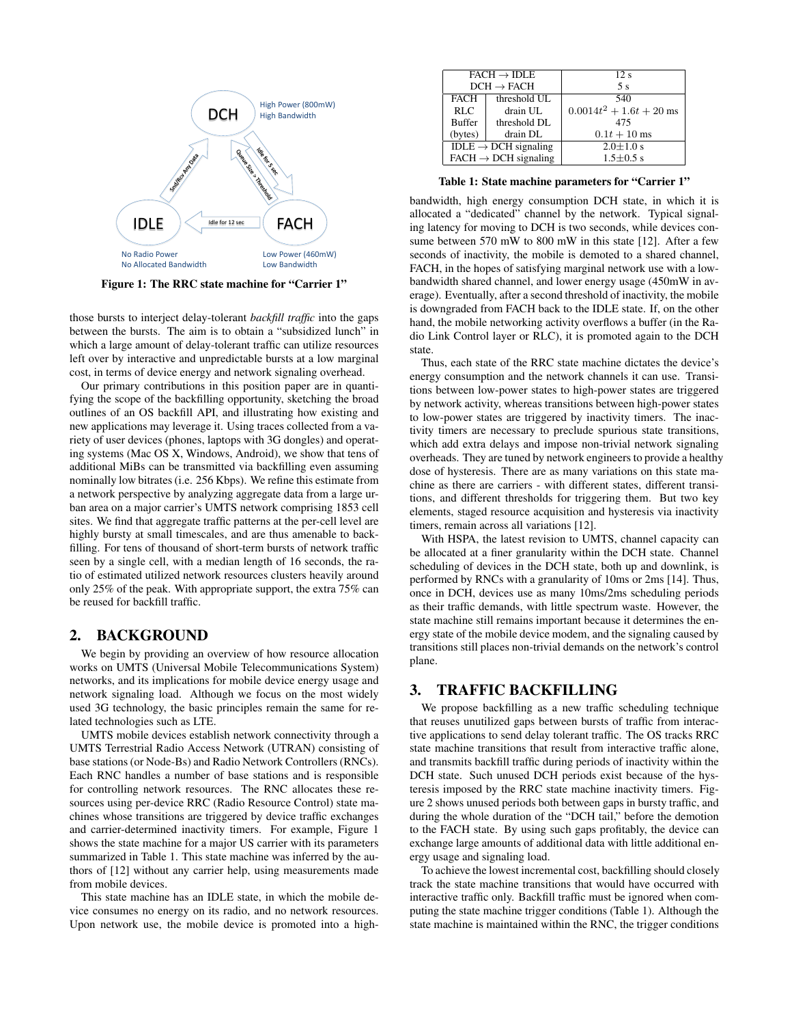

Figure 1: The RRC state machine for "Carrier 1"

those bursts to interject delay-tolerant *backfill traffic* into the gaps between the bursts. The aim is to obtain a "subsidized lunch" in which a large amount of delay-tolerant traffic can utilize resources left over by interactive and unpredictable bursts at a low marginal cost, in terms of device energy and network signaling overhead.

Our primary contributions in this position paper are in quantifying the scope of the backfilling opportunity, sketching the broad outlines of an OS backfill API, and illustrating how existing and new applications may leverage it. Using traces collected from a variety of user devices (phones, laptops with 3G dongles) and operating systems (Mac OS X, Windows, Android), we show that tens of additional MiBs can be transmitted via backfilling even assuming nominally low bitrates (i.e. 256 Kbps). We refine this estimate from a network perspective by analyzing aggregate data from a large urban area on a major carrier's UMTS network comprising 1853 cell sites. We find that aggregate traffic patterns at the per-cell level are highly bursty at small timescales, and are thus amenable to backfilling. For tens of thousand of short-term bursts of network traffic seen by a single cell, with a median length of 16 seconds, the ratio of estimated utilized network resources clusters heavily around only 25% of the peak. With appropriate support, the extra 75% can be reused for backfill traffic.

#### 2. BACKGROUND

We begin by providing an overview of how resource allocation works on UMTS (Universal Mobile Telecommunications System) networks, and its implications for mobile device energy usage and network signaling load. Although we focus on the most widely used 3G technology, the basic principles remain the same for related technologies such as LTE.

UMTS mobile devices establish network connectivity through a UMTS Terrestrial Radio Access Network (UTRAN) consisting of base stations (or Node-Bs) and Radio Network Controllers (RNCs). Each RNC handles a number of base stations and is responsible for controlling network resources. The RNC allocates these resources using per-device RRC (Radio Resource Control) state machines whose transitions are triggered by device traffic exchanges and carrier-determined inactivity timers. For example, Figure 1 shows the state machine for a major US carrier with its parameters summarized in Table 1. This state machine was inferred by the authors of [12] without any carrier help, using measurements made from mobile devices.

This state machine has an IDLE state, in which the mobile device consumes no energy on its radio, and no network resources. Upon network use, the mobile device is promoted into a high-

| $FACH \rightarrow IDLE$<br>$DCH \rightarrow$ FACH |              | 12s<br>5s                  |
|---------------------------------------------------|--------------|----------------------------|
| FACH<br>threshold UL                              |              | 540                        |
| RLC                                               | drain UL     | $0.0014t^2 + 1.6t + 20$ ms |
| <b>Buffer</b>                                     | threshold DL | 475                        |
| (bytes)                                           | drain DL     | $0.1t + 10$ ms             |
| IDLE $\rightarrow$ DCH signaling                  |              | $2.0 \pm 1.0 s$            |
| $FACH \rightarrow DCH$ signaling                  |              | $1.5 + 0.5$ s              |

Table 1: State machine parameters for "Carrier 1"

bandwidth, high energy consumption DCH state, in which it is allocated a "dedicated" channel by the network. Typical signaling latency for moving to DCH is two seconds, while devices consume between 570 mW to 800 mW in this state [12]. After a few seconds of inactivity, the mobile is demoted to a shared channel, FACH, in the hopes of satisfying marginal network use with a lowbandwidth shared channel, and lower energy usage (450mW in average). Eventually, after a second threshold of inactivity, the mobile is downgraded from FACH back to the IDLE state. If, on the other hand, the mobile networking activity overflows a buffer (in the Radio Link Control layer or RLC), it is promoted again to the DCH state.

Thus, each state of the RRC state machine dictates the device's energy consumption and the network channels it can use. Transitions between low-power states to high-power states are triggered by network activity, whereas transitions between high-power states to low-power states are triggered by inactivity timers. The inactivity timers are necessary to preclude spurious state transitions, which add extra delays and impose non-trivial network signaling overheads. They are tuned by network engineers to provide a healthy dose of hysteresis. There are as many variations on this state machine as there are carriers - with different states, different transitions, and different thresholds for triggering them. But two key elements, staged resource acquisition and hysteresis via inactivity timers, remain across all variations [12].

With HSPA, the latest revision to UMTS, channel capacity can be allocated at a finer granularity within the DCH state. Channel scheduling of devices in the DCH state, both up and downlink, is performed by RNCs with a granularity of 10ms or 2ms [14]. Thus, once in DCH, devices use as many 10ms/2ms scheduling periods as their traffic demands, with little spectrum waste. However, the state machine still remains important because it determines the energy state of the mobile device modem, and the signaling caused by transitions still places non-trivial demands on the network's control plane.

# 3. TRAFFIC BACKFILLING

We propose backfilling as a new traffic scheduling technique that reuses unutilized gaps between bursts of traffic from interactive applications to send delay tolerant traffic. The OS tracks RRC state machine transitions that result from interactive traffic alone, and transmits backfill traffic during periods of inactivity within the DCH state. Such unused DCH periods exist because of the hysteresis imposed by the RRC state machine inactivity timers. Figure 2 shows unused periods both between gaps in bursty traffic, and during the whole duration of the "DCH tail," before the demotion to the FACH state. By using such gaps profitably, the device can exchange large amounts of additional data with little additional energy usage and signaling load.

To achieve the lowest incremental cost, backfilling should closely track the state machine transitions that would have occurred with interactive traffic only. Backfill traffic must be ignored when computing the state machine trigger conditions (Table 1). Although the state machine is maintained within the RNC, the trigger conditions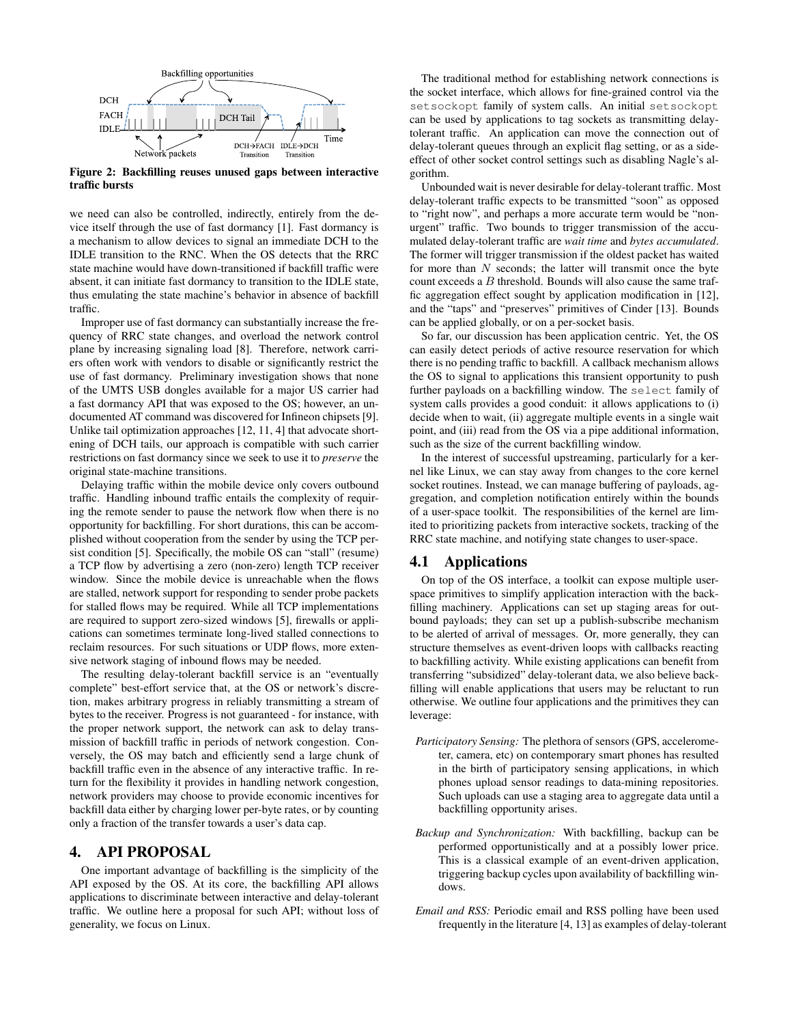

Figure 2: Backfilling reuses unused gaps between interactive traffic bursts

we need can also be controlled, indirectly, entirely from the device itself through the use of fast dormancy [1]. Fast dormancy is a mechanism to allow devices to signal an immediate DCH to the IDLE transition to the RNC. When the OS detects that the RRC state machine would have down-transitioned if backfill traffic were absent, it can initiate fast dormancy to transition to the IDLE state, thus emulating the state machine's behavior in absence of backfill traffic.

Improper use of fast dormancy can substantially increase the frequency of RRC state changes, and overload the network control plane by increasing signaling load [8]. Therefore, network carriers often work with vendors to disable or significantly restrict the use of fast dormancy. Preliminary investigation shows that none of the UMTS USB dongles available for a major US carrier had a fast dormancy API that was exposed to the OS; however, an undocumented AT command was discovered for Infineon chipsets [9]. Unlike tail optimization approaches [12, 11, 4] that advocate shortening of DCH tails, our approach is compatible with such carrier restrictions on fast dormancy since we seek to use it to *preserve* the original state-machine transitions.

Delaying traffic within the mobile device only covers outbound traffic. Handling inbound traffic entails the complexity of requiring the remote sender to pause the network flow when there is no opportunity for backfilling. For short durations, this can be accomplished without cooperation from the sender by using the TCP persist condition [5]. Specifically, the mobile OS can "stall" (resume) a TCP flow by advertising a zero (non-zero) length TCP receiver window. Since the mobile device is unreachable when the flows are stalled, network support for responding to sender probe packets for stalled flows may be required. While all TCP implementations are required to support zero-sized windows [5], firewalls or applications can sometimes terminate long-lived stalled connections to reclaim resources. For such situations or UDP flows, more extensive network staging of inbound flows may be needed.

The resulting delay-tolerant backfill service is an "eventually complete" best-effort service that, at the OS or network's discretion, makes arbitrary progress in reliably transmitting a stream of bytes to the receiver. Progress is not guaranteed - for instance, with the proper network support, the network can ask to delay transmission of backfill traffic in periods of network congestion. Conversely, the OS may batch and efficiently send a large chunk of backfill traffic even in the absence of any interactive traffic. In return for the flexibility it provides in handling network congestion, network providers may choose to provide economic incentives for backfill data either by charging lower per-byte rates, or by counting only a fraction of the transfer towards a user's data cap.

#### 4. API PROPOSAL

One important advantage of backfilling is the simplicity of the API exposed by the OS. At its core, the backfilling API allows applications to discriminate between interactive and delay-tolerant traffic. We outline here a proposal for such API; without loss of generality, we focus on Linux.

The traditional method for establishing network connections is the socket interface, which allows for fine-grained control via the setsockopt family of system calls. An initial setsockopt can be used by applications to tag sockets as transmitting delaytolerant traffic. An application can move the connection out of delay-tolerant queues through an explicit flag setting, or as a sideeffect of other socket control settings such as disabling Nagle's algorithm.

Unbounded wait is never desirable for delay-tolerant traffic. Most delay-tolerant traffic expects to be transmitted "soon" as opposed to "right now", and perhaps a more accurate term would be "nonurgent" traffic. Two bounds to trigger transmission of the accumulated delay-tolerant traffic are *wait time* and *bytes accumulated*. The former will trigger transmission if the oldest packet has waited for more than  $N$  seconds; the latter will transmit once the byte count exceeds a B threshold. Bounds will also cause the same traffic aggregation effect sought by application modification in [12], and the "taps" and "preserves" primitives of Cinder [13]. Bounds can be applied globally, or on a per-socket basis.

So far, our discussion has been application centric. Yet, the OS can easily detect periods of active resource reservation for which there is no pending traffic to backfill. A callback mechanism allows the OS to signal to applications this transient opportunity to push further payloads on a backfilling window. The select family of system calls provides a good conduit: it allows applications to (i) decide when to wait, (ii) aggregate multiple events in a single wait point, and (iii) read from the OS via a pipe additional information, such as the size of the current backfilling window.

In the interest of successful upstreaming, particularly for a kernel like Linux, we can stay away from changes to the core kernel socket routines. Instead, we can manage buffering of payloads, aggregation, and completion notification entirely within the bounds of a user-space toolkit. The responsibilities of the kernel are limited to prioritizing packets from interactive sockets, tracking of the RRC state machine, and notifying state changes to user-space.

#### 4.1 Applications

On top of the OS interface, a toolkit can expose multiple userspace primitives to simplify application interaction with the backfilling machinery. Applications can set up staging areas for outbound payloads; they can set up a publish-subscribe mechanism to be alerted of arrival of messages. Or, more generally, they can structure themselves as event-driven loops with callbacks reacting to backfilling activity. While existing applications can benefit from transferring "subsidized" delay-tolerant data, we also believe backfilling will enable applications that users may be reluctant to run otherwise. We outline four applications and the primitives they can leverage:

- *Participatory Sensing:* The plethora of sensors (GPS, accelerometer, camera, etc) on contemporary smart phones has resulted in the birth of participatory sensing applications, in which phones upload sensor readings to data-mining repositories. Such uploads can use a staging area to aggregate data until a backfilling opportunity arises.
- *Backup and Synchronization:* With backfilling, backup can be performed opportunistically and at a possibly lower price. This is a classical example of an event-driven application, triggering backup cycles upon availability of backfilling windows.
- *Email and RSS:* Periodic email and RSS polling have been used frequently in the literature [4, 13] as examples of delay-tolerant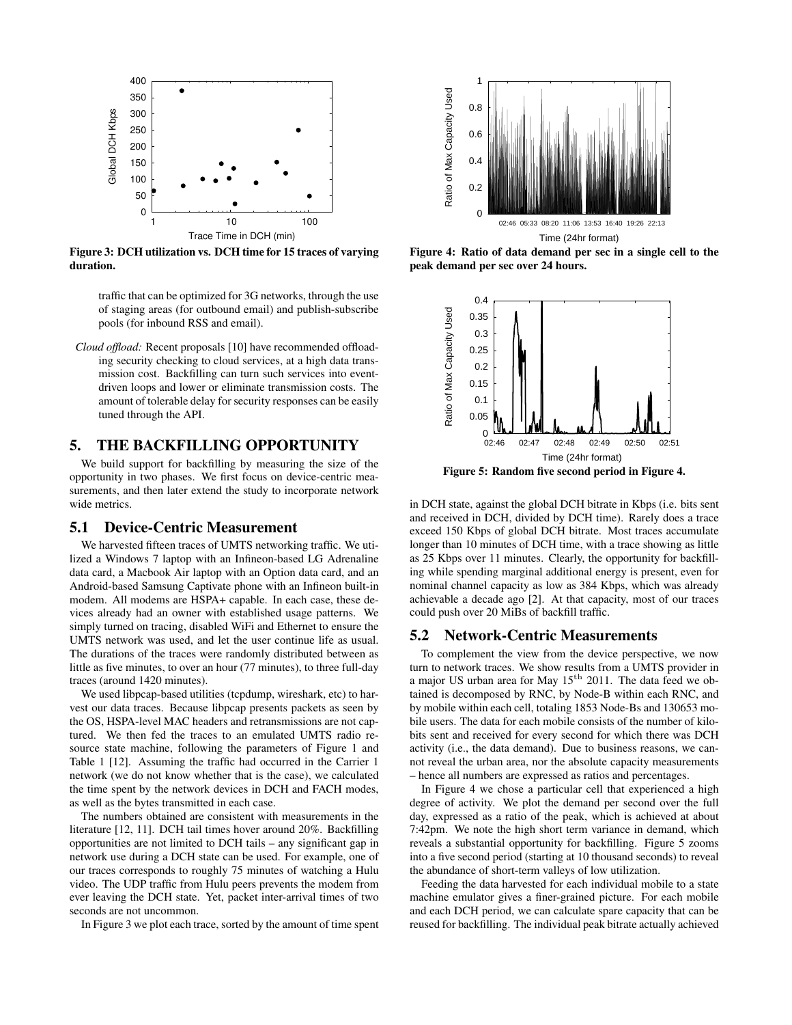

Figure 3: DCH utilization vs. DCH time for 15 traces of varying duration.

traffic that can be optimized for 3G networks, through the use of staging areas (for outbound email) and publish-subscribe pools (for inbound RSS and email).

*Cloud offload:* Recent proposals [10] have recommended offloading security checking to cloud services, at a high data transmission cost. Backfilling can turn such services into eventdriven loops and lower or eliminate transmission costs. The amount of tolerable delay for security responses can be easily tuned through the API.

### 5. THE BACKFILLING OPPORTUNITY

We build support for backfilling by measuring the size of the opportunity in two phases. We first focus on device-centric measurements, and then later extend the study to incorporate network wide metrics.

#### 5.1 Device-Centric Measurement

We harvested fifteen traces of UMTS networking traffic. We utilized a Windows 7 laptop with an Infineon-based LG Adrenaline data card, a Macbook Air laptop with an Option data card, and an Android-based Samsung Captivate phone with an Infineon built-in modem. All modems are HSPA+ capable. In each case, these devices already had an owner with established usage patterns. We simply turned on tracing, disabled WiFi and Ethernet to ensure the UMTS network was used, and let the user continue life as usual. The durations of the traces were randomly distributed between as little as five minutes, to over an hour (77 minutes), to three full-day traces (around 1420 minutes).

We used libpcap-based utilities (tcpdump, wireshark, etc) to harvest our data traces. Because libpcap presents packets as seen by the OS, HSPA-level MAC headers and retransmissions are not captured. We then fed the traces to an emulated UMTS radio resource state machine, following the parameters of Figure 1 and Table 1 [12]. Assuming the traffic had occurred in the Carrier 1 network (we do not know whether that is the case), we calculated the time spent by the network devices in DCH and FACH modes, as well as the bytes transmitted in each case.

The numbers obtained are consistent with measurements in the literature [12, 11]. DCH tail times hover around 20%. Backfilling opportunities are not limited to DCH tails – any significant gap in network use during a DCH state can be used. For example, one of our traces corresponds to roughly 75 minutes of watching a Hulu video. The UDP traffic from Hulu peers prevents the modem from ever leaving the DCH state. Yet, packet inter-arrival times of two seconds are not uncommon.

In Figure 3 we plot each trace, sorted by the amount of time spent



Figure 4: Ratio of data demand per sec in a single cell to the peak demand per sec over 24 hours.



Figure 5: Random five second period in Figure 4.

in DCH state, against the global DCH bitrate in Kbps (i.e. bits sent and received in DCH, divided by DCH time). Rarely does a trace exceed 150 Kbps of global DCH bitrate. Most traces accumulate longer than 10 minutes of DCH time, with a trace showing as little as 25 Kbps over 11 minutes. Clearly, the opportunity for backfilling while spending marginal additional energy is present, even for nominal channel capacity as low as 384 Kbps, which was already achievable a decade ago [2]. At that capacity, most of our traces could push over 20 MiBs of backfill traffic.

#### 5.2 Network-Centric Measurements

To complement the view from the device perspective, we now turn to network traces. We show results from a UMTS provider in a major US urban area for May  $15<sup>th</sup>$  2011. The data feed we obtained is decomposed by RNC, by Node-B within each RNC, and by mobile within each cell, totaling 1853 Node-Bs and 130653 mobile users. The data for each mobile consists of the number of kilobits sent and received for every second for which there was DCH activity (i.e., the data demand). Due to business reasons, we cannot reveal the urban area, nor the absolute capacity measurements – hence all numbers are expressed as ratios and percentages.

In Figure 4 we chose a particular cell that experienced a high degree of activity. We plot the demand per second over the full day, expressed as a ratio of the peak, which is achieved at about 7:42pm. We note the high short term variance in demand, which reveals a substantial opportunity for backfilling. Figure 5 zooms into a five second period (starting at 10 thousand seconds) to reveal the abundance of short-term valleys of low utilization.

Feeding the data harvested for each individual mobile to a state machine emulator gives a finer-grained picture. For each mobile and each DCH period, we can calculate spare capacity that can be reused for backfilling. The individual peak bitrate actually achieved